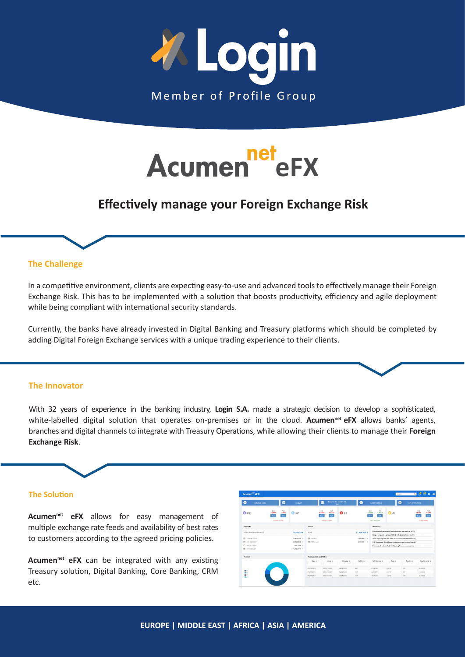



# **Effectively manage your Foreign Exchange Risk**

# **The Challenge**

In a competitive environment, clients are expecting easy-to-use and advanced tools to effectively manage their Foreign Exchange Risk. This has to be implemented with a solution that boosts productivity, efficiency and agile deployment while being compliant with international security standards.

Currently, the banks have already invested in Digital Banking and Treasury platforms which should be completed by adding Digital Foreign Exchange services with a unique trading experience to their clients.

#### **The Innovator**

With 32 years of experience in the banking industry, **Login S.A.** made a strategic decision to develop a sophisticated, white-labelled digital solution that operates on-premises or in the cloud. **Acumen<sup>net</sup> eFX** allows banks' agents, branches and digital channels to integrate with Treasury Operations, while allowing their clients to manage their **Foreign Exchange Risk**.

# **The Solution**

Acumen<sup>net</sup> eFX allows for easy management of multiple exchange rate feeds and availability of best rates to customers according to the agreed pricing policies.

Acumen<sup>net</sup> eFX can be integrated with any existing Treasury solution, Digital Banking, Core Banking, CRM etc.

| Acumen <sup>net</sup> eFX                                                                           |                                                |                       |                                                              |                                          |                                              |                                       |                                |                                                                                                                                                                                                  | Search        |                               | $Q_1$ $Q_2$ $Q_3$ $Q_4$                                         |
|-----------------------------------------------------------------------------------------------------|------------------------------------------------|-----------------------|--------------------------------------------------------------|------------------------------------------|----------------------------------------------|---------------------------------------|--------------------------------|--------------------------------------------------------------------------------------------------------------------------------------------------------------------------------------------------|---------------|-------------------------------|-----------------------------------------------------------------|
| n.<br>Exchange Rates                                                                                |                                                | $\bullet$             | <b>EX Spot</b>                                               |                                          | Θ                                            | <b>Request for Quote - FX</b><br>Spot | ൈ                              | Get RFO Status                                                                                                                                                                                   |               | $\bullet$<br>Get All The RFOs |                                                                 |
| <b>G</b> usp                                                                                        | Bid<br>1,0326<br><b>Buy</b><br>(2,0035) -0.11% | Ask<br>1,0861<br>set. | <b>B</b> GEP                                                 | Bid<br>0.8659<br>Buy                     | Ask<br>0.8761<br><b>OB</b><br>(00102) -0.51% | $\bullet$ oir                         |                                | Bid<br>Ask<br>1.0633<br>1,0508<br>satt<br>Bay<br>00.012510.10%                                                                                                                                   | <b>Ca</b> JPY |                               | Bid<br>Ask<br>117.93<br>116.14<br>Sell<br>Boy<br>$(1,79)$ -DOS% |
| Accounts                                                                                            |                                                |                       |                                                              | Limits                                   |                                              |                                       |                                | Newsfeed                                                                                                                                                                                         |               |                               |                                                                 |
| TOTAL EURO EQUIVALENTS<br>7,830,926€                                                                |                                                |                       |                                                              | Total<br>11,000,000 €                    |                                              |                                       |                                | Irish coronarirus adjusted unemployment rate soars to 16.5%<br>Pregue aims gets a grip on Airbob with corposyings crisis laws                                                                    |               |                               |                                                                 |
| $\blacksquare$<br><b>BJRD ACCOUNT</b><br>$\equiv$<br>USD ACCOUNT<br>EB GBP ACCOUNT<br>E IPY ACCOUNT |                                                |                       | 3,647,650 € 9<br>2,789,000 \$ 9<br>MATM C 3<br>71345.300 ¥ > | <b>ER</b> RESPON<br><b>ER EX Forward</b> |                                              |                                       | 8,000,000 € ><br>3,000,000 € > | Small case raily but risks loom as coronavirus batters economy<br>U.S. Democrats, Republicans at odds over next coronavirus aid.<br>Democrats tread carefully in attacking Trump on coronavirus. |               |                               |                                                                 |
| Position                                                                                            |                                                |                       |                                                              | Today's deals and RFQ's                  |                                              |                                       |                                |                                                                                                                                                                                                  |               |                               |                                                                 |
|                                                                                                     |                                                |                       |                                                              | Type #                                   | Code 0                                       | Maturity 0                            | Sell Coy 0                     | Sell Nominal 0                                                                                                                                                                                   | <b>Rete</b> 0 | Bay Cor &                     | <b>Buy Nominal 0</b>                                            |
|                                                                                                     |                                                |                       |                                                              | SPOT FOREX                               | 0001/732059                                  | 14/04/2020                            | GBP.                           | -25.067.86                                                                                                                                                                                       | 0.6674        | <b>DIR</b>                    | 28,900.00                                                       |
| <b>MI</b> Custo<br>$\blacksquare$ 107                                                               |                                                |                       |                                                              | SPOT FOREX                               | 0001/732067                                  | 14/04/2020                            | <b>FLR</b>                     | $-24.703.99$                                                                                                                                                                                     | 0.6796        | GBP                           | 21,000.00                                                       |
| $\blacksquare$                                                                                      |                                                |                       |                                                              | SPOT FOREX                               | 0001/732056                                  | 14/04/2020                            | <b>ELR</b>                     | $-16,076,00$                                                                                                                                                                                     | 1,0545        | <b>USD</b>                    | 17,600.00                                                       |